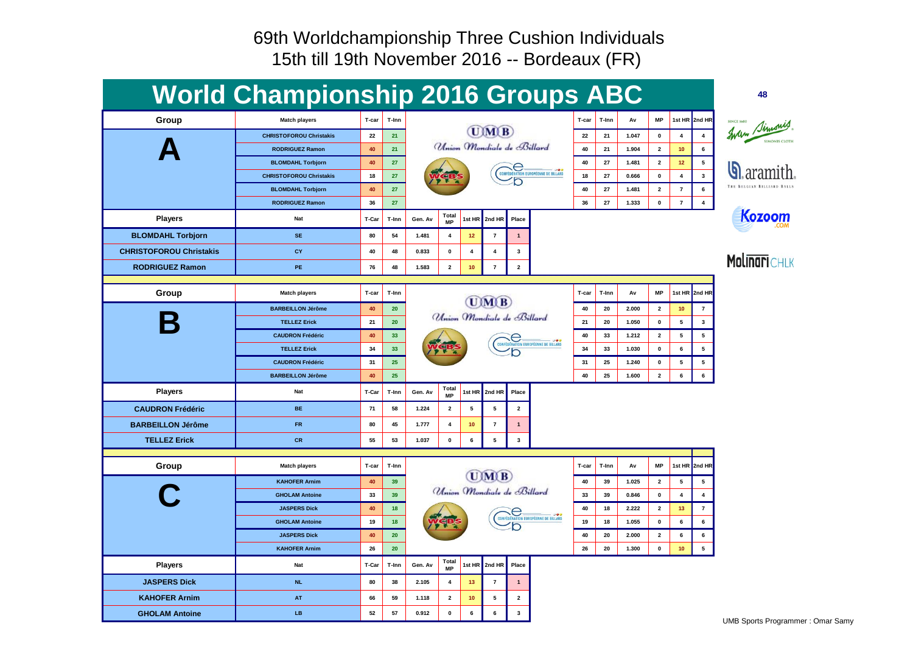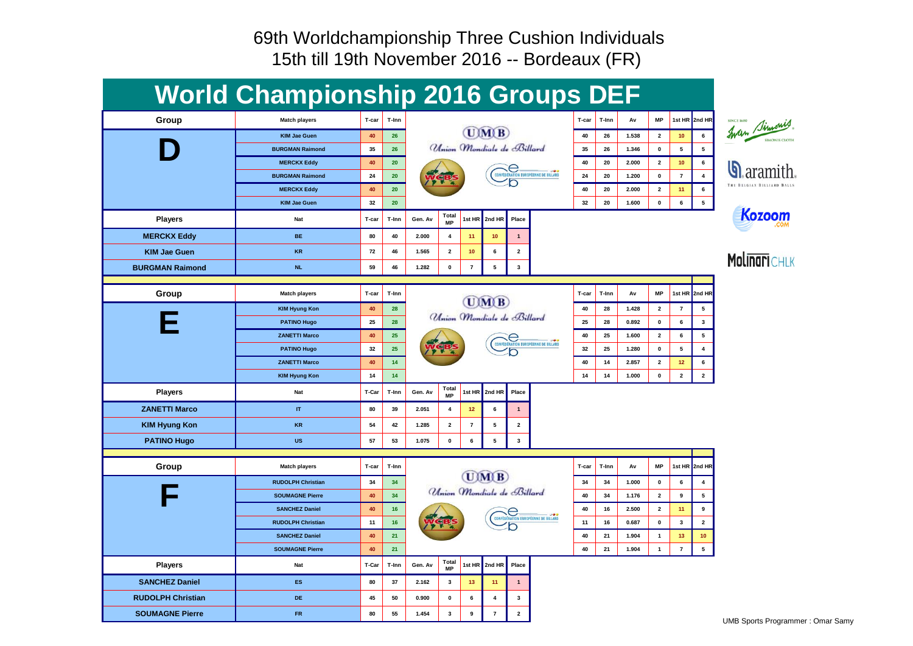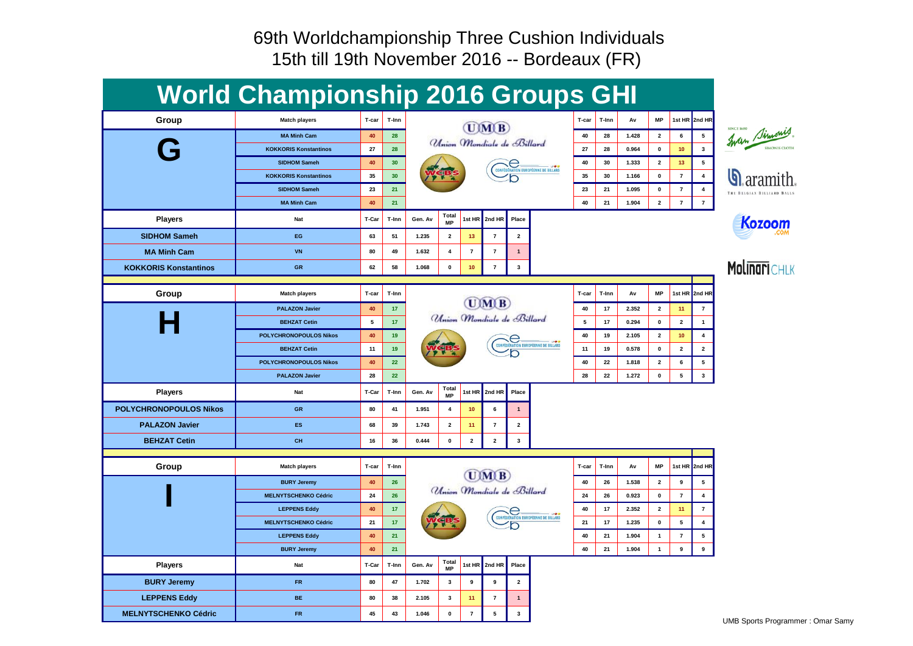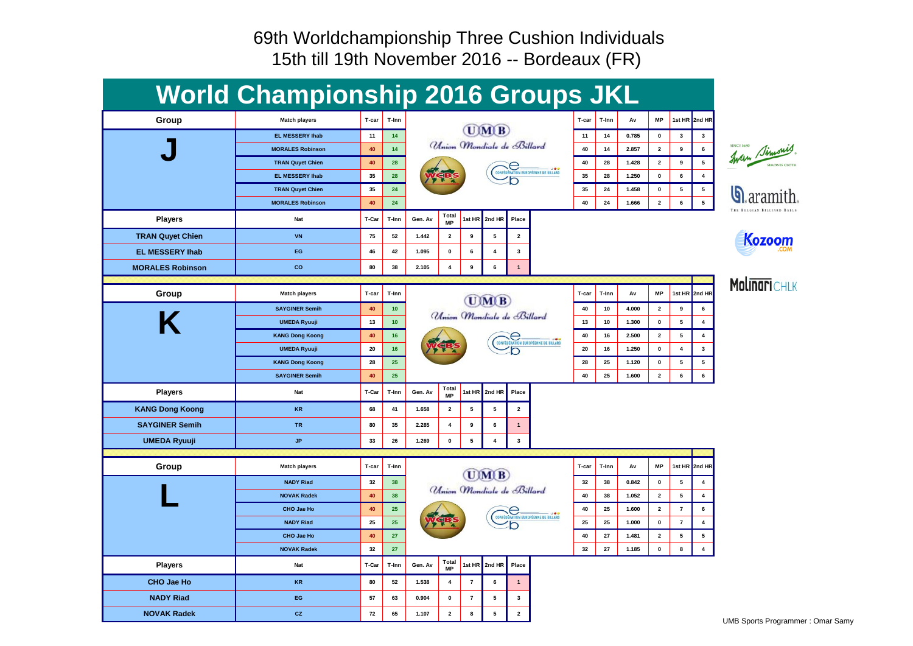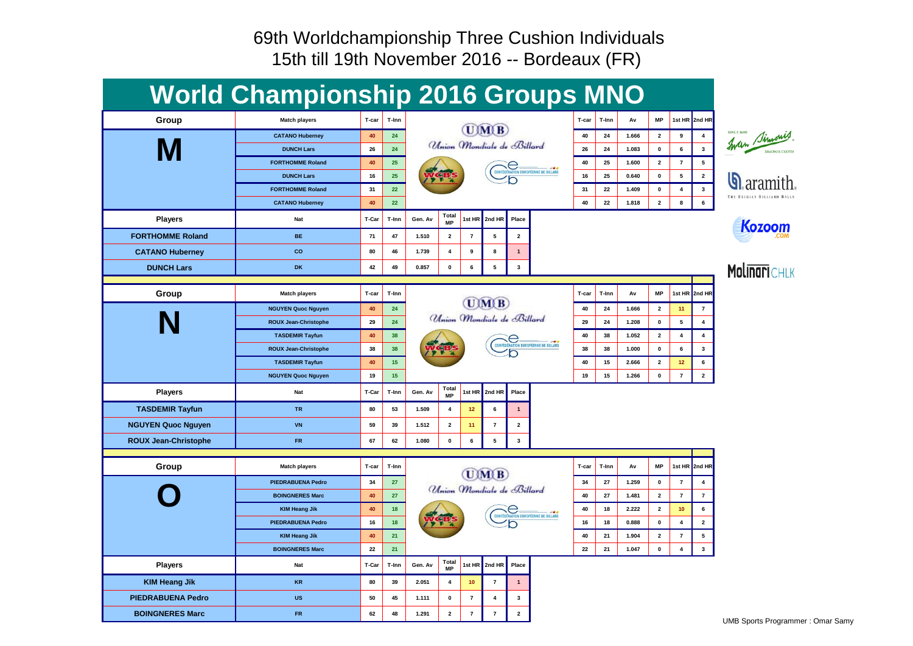